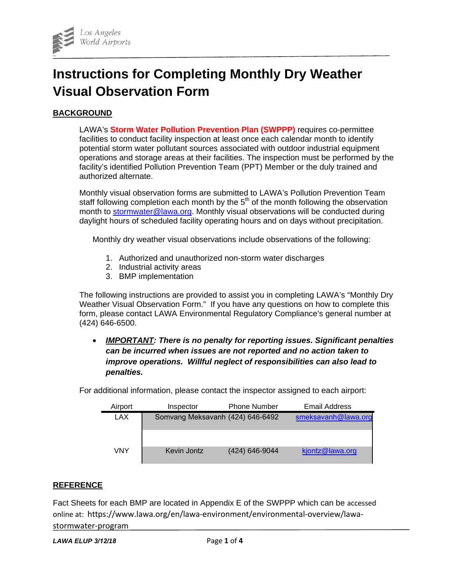

# **Instructions for Completing Monthly Dry Weather Visual Observation Form**

## **BACKGROUND**

LAWA's **Storm Water Pollution Prevention Plan (SWPPP)** requires co-permittee facilities to conduct facility inspection at least once each calendar month to identify potential storm water pollutant sources associated with outdoor industrial equipment operations and storage areas at their facilities. The inspection must be performed by the facility's identified Pollution Prevention Team (PPT) Member or the duly trained and authorized alternate.

Monthly visual observation forms are submitted to LAWA's Pollution Prevention Team staff following completion each month by the  $5<sup>th</sup>$  of the month following the observation month to stormwater@lawa.org. Monthly visual observations will be conducted during daylight hours of scheduled facility operating hours and on days without precipitation.

Monthly dry weather visual observations include observations of the following:

- 1. Authorized and unauthorized non-storm water discharges
- 2. Industrial activity areas
- 3. BMP implementation

The following instructions are provided to assist you in completing LAWA's "Monthly Dry Weather Visual Observation Form." If you have any questions on how to complete this form, please contact LAWA Environmental Regulatory Compliance's general number at (424) 646-6500.

 *IMPORTANT: There is no penalty for reporting issues. Significant penalties can be incurred when issues are not reported and no action taken to improve operations. Willful neglect of responsibilities can also lead to penalties.*

| Airport | Inspector                        | <b>Phone Number</b> | <b>Email Address</b> |
|---------|----------------------------------|---------------------|----------------------|
| LAX     | Somvang Meksavanh (424) 646-6492 |                     | smeksavanh@lawa.org  |
|         |                                  |                     |                      |
| VNY     | Kevin Jontz                      | (424) 646-9044      | kjontz@lawa.org      |

For additional information, please contact the inspector assigned to each airport:

## **REFERENCE**

Fact Sheets for each BMP are located in Appendix E of the SWPPP which can be accessed online at: https://www.lawa.org/en/lawa-environment/environmental-overview/lawastormwater-program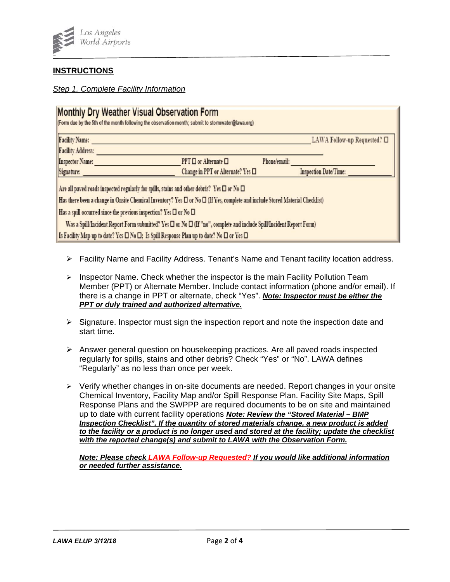

## **INSTRUCTIONS**

### *Step 1. Complete Facility Information*

| Monthly Dry Weather Visual Observation Form<br>(Form due by the 5th of the month following the observation month; submit to stormwater@lawa.org) |                                   |              |                              |  |  |  |  |  |
|--------------------------------------------------------------------------------------------------------------------------------------------------|-----------------------------------|--------------|------------------------------|--|--|--|--|--|
| <b>Facility Name:</b>                                                                                                                            |                                   |              | LAWA Follow-up Requested? □  |  |  |  |  |  |
| <b>Facility Address:</b>                                                                                                                         |                                   |              |                              |  |  |  |  |  |
| Inspector Name:                                                                                                                                  | PPT D or Alternate D              | Phone/email: |                              |  |  |  |  |  |
| Signature:                                                                                                                                       | Change in PPT or Alternate? Yes □ |              | <b>Inspection Date/Time:</b> |  |  |  |  |  |
| Are all paved roads inspected regularly for spills, stains and other debris? Yes $\square$ or $\mathbb N_0 \square$                              |                                   |              |                              |  |  |  |  |  |
| Has there been a change in Onsite Chemical Inventory? Yes $\Box$ or No $\Box$ (If Yes, complete and include Stored Material Checklist)           |                                   |              |                              |  |  |  |  |  |
| Has a spill occurred since the previous inspection? Yes $\square$ or No $\square$                                                                |                                   |              |                              |  |  |  |  |  |
| Was a Spill/Incident Report Form submitted? Yes $\Box$ or No $\Box$ (If "no", complete and include Spill/Incident Report Form)                   |                                   |              |                              |  |  |  |  |  |
| Is Facility Map up to date? Yes $\square$ No $\square$ ; Is Spill Response Plan up to date? No $\square$ or Yes $\square$                        |                                   |              |                              |  |  |  |  |  |

- $\triangleright$  Facility Name and Facility Address. Tenant's Name and Tenant facility location address.
- $\triangleright$  Inspector Name. Check whether the inspector is the main Facility Pollution Team Member (PPT) or Alternate Member. Include contact information (phone and/or email). If there is a change in PPT or alternate, check "Yes". *Note: Inspector must be either the PPT or duly trained and authorized alternative.*
- $\triangleright$  Signature. Inspector must sign the inspection report and note the inspection date and start time.
- Answer general question on housekeeping practices. Are all paved roads inspected regularly for spills, stains and other debris? Check "Yes" or "No". LAWA defines "Regularly" as no less than once per week.
- $\triangleright$  Verify whether changes in on-site documents are needed. Report changes in your onsite Chemical Inventory, Facility Map and/or Spill Response Plan. Facility Site Maps, Spill Response Plans and the SWPPP are required documents to be on site and maintained up to date with current facility operations *Note: Review the "Stored Material – BMP Inspection Checklist". If the quantity of stored materials change, a new product is added to the facility or a product is no longer used and stored at the facility; update the checklist with the reported change(s) and submit to LAWA with the Observation Form.*

*Note: Please check LAWA Follow-up Requested? If you would like additional information or needed further assistance.*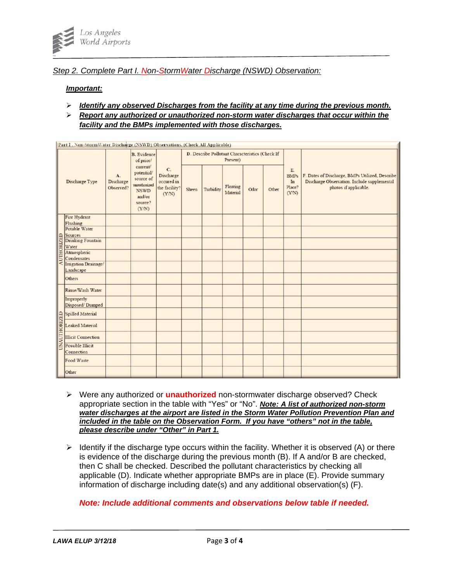

#### *Step 2. Complete Part I. Non-StormWater Discharge (NSWD) Observation:*

#### *Important:*

- *Identify any observed Discharges from the facility at any time during the previous month.*
- *Report any authorized or unauthorized non-storm water discharges that occur within the facility and the BMPs implemented with those discharges.*

|                   | Part I. Non-StormWater Discharge (NSWD) Observations. (Check All Applicable) |                              |                                                                                                                                     |                                                         |                                                             |           |                      |      |       |                                            |                                                                                                                        |
|-------------------|------------------------------------------------------------------------------|------------------------------|-------------------------------------------------------------------------------------------------------------------------------------|---------------------------------------------------------|-------------------------------------------------------------|-----------|----------------------|------|-------|--------------------------------------------|------------------------------------------------------------------------------------------------------------------------|
|                   |                                                                              | A.<br>Discharge<br>Observed? | <b>B.</b> Evidence<br>of prior/<br>current/<br>potential/<br>source of<br>unauthorized<br><b>NSWD</b><br>and/or<br>source?<br>(Y/N) | C.<br>Discharge<br>occured in<br>the facility?<br>(Y/N) | D. Describe Pollutant Characteristics (Check If<br>Present) |           |                      |      |       |                                            |                                                                                                                        |
|                   | Discharge Type                                                               |                              |                                                                                                                                     |                                                         | Sheen                                                       | Turbidity | Floating<br>Material | Odor | Other | E.<br><b>BMPs</b><br>In<br>Place?<br>(Y/N) | F. Dates of Discharge, BMPs Utilized, Describe<br>Discharge Observation. Include supplemental<br>photos if applicable. |
|                   | Fire Hydrant                                                                 |                              |                                                                                                                                     |                                                         |                                                             |           |                      |      |       |                                            |                                                                                                                        |
|                   | Flushing                                                                     |                              |                                                                                                                                     |                                                         |                                                             |           |                      |      |       |                                            |                                                                                                                        |
|                   | Potable Water                                                                |                              |                                                                                                                                     |                                                         |                                                             |           |                      |      |       |                                            |                                                                                                                        |
|                   | Sources<br>Drinking Fountain                                                 |                              |                                                                                                                                     |                                                         |                                                             |           |                      |      |       |                                            |                                                                                                                        |
| <b>UTHORIZED</b>  | Water                                                                        |                              |                                                                                                                                     |                                                         |                                                             |           |                      |      |       |                                            |                                                                                                                        |
|                   | Atmospheric                                                                  |                              |                                                                                                                                     |                                                         |                                                             |           |                      |      |       |                                            |                                                                                                                        |
| ⋖                 | Condensates                                                                  |                              |                                                                                                                                     |                                                         |                                                             |           |                      |      |       |                                            |                                                                                                                        |
|                   | Irrigation Drainage/<br>Landscape                                            |                              |                                                                                                                                     |                                                         |                                                             |           |                      |      |       |                                            |                                                                                                                        |
|                   | Others                                                                       |                              |                                                                                                                                     |                                                         |                                                             |           |                      |      |       |                                            |                                                                                                                        |
|                   | Rinse/Wash Water                                                             |                              |                                                                                                                                     |                                                         |                                                             |           |                      |      |       |                                            |                                                                                                                        |
|                   | Improperly<br>Disposed/Dumped                                                |                              |                                                                                                                                     |                                                         |                                                             |           |                      |      |       |                                            |                                                                                                                        |
|                   | Spilled Material                                                             |                              |                                                                                                                                     |                                                         |                                                             |           |                      |      |       |                                            |                                                                                                                        |
| <b>AUTHORIZED</b> | Leaked Material                                                              |                              |                                                                                                                                     |                                                         |                                                             |           |                      |      |       |                                            |                                                                                                                        |
|                   | <b>Illicit Connection</b>                                                    |                              |                                                                                                                                     |                                                         |                                                             |           |                      |      |       |                                            |                                                                                                                        |
|                   | Possible Illicit<br>Connection                                               |                              |                                                                                                                                     |                                                         |                                                             |           |                      |      |       |                                            |                                                                                                                        |
|                   | Food Waste                                                                   |                              |                                                                                                                                     |                                                         |                                                             |           |                      |      |       |                                            |                                                                                                                        |
|                   | Other                                                                        |                              |                                                                                                                                     |                                                         |                                                             |           |                      |      |       |                                            |                                                                                                                        |

- Were any authorized or **unauthorized** non-stormwater discharge observed? Check appropriate section in the table with "Yes" or "No". *Note: A list of authorized non-storm water discharges at the airport are listed in the Storm Water Pollution Prevention Plan and included in the table on the Observation Form. If you have "others" not in the table, please describe under "Other" in Part 1.*
- $\triangleright$  Identify if the discharge type occurs within the facility. Whether it is observed (A) or there is evidence of the discharge during the previous month (B). If A and/or B are checked, then C shall be checked. Described the pollutant characteristics by checking all applicable (D). Indicate whether appropriate BMPs are in place (E). Provide summary information of discharge including date(s) and any additional observation(s) (F).

### *Note: Include additional comments and observations below table if needed.*